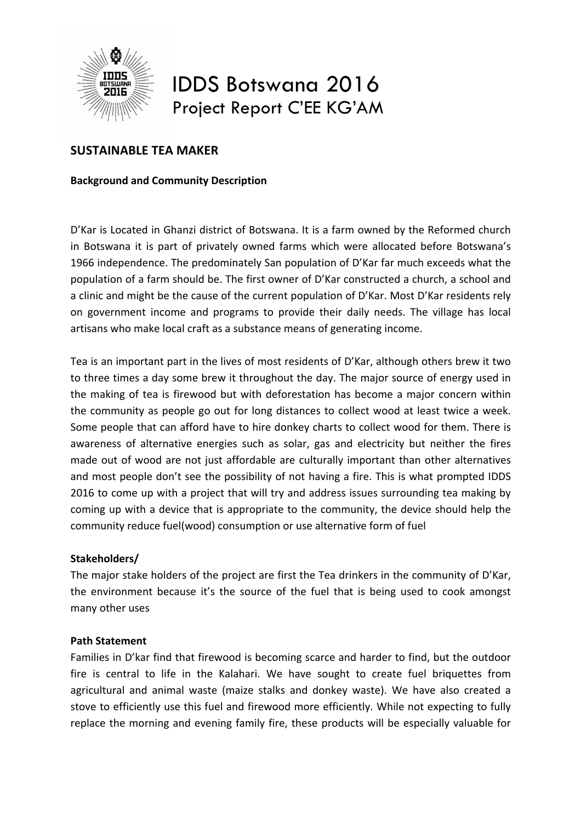

# IDDS Botswana 2016 Project Report C'EE KG'AM

# **SUSTAINABLE TEA MAKER**

# **Background and Community Description**

D'Kar is Located in Ghanzi district of Botswana. It is a farm owned by the Reformed church in Botswana it is part of privately owned farms which were allocated before Botswana's 1966 independence. The predominately San population of D'Kar far much exceeds what the population of a farm should be. The first owner of D'Kar constructed a church, a school and a clinic and might be the cause of the current population of D'Kar. Most D'Kar residents rely on government income and programs to provide their daily needs. The village has local artisans who make local craft as a substance means of generating income.

Tea is an important part in the lives of most residents of D'Kar, although others brew it two to three times a day some brew it throughout the day. The major source of energy used in the making of tea is firewood but with deforestation has become a major concern within the community as people go out for long distances to collect wood at least twice a week. Some people that can afford have to hire donkey charts to collect wood for them. There is awareness of alternative energies such as solar, gas and electricity but neither the fires made out of wood are not just affordable are culturally important than other alternatives and most people don't see the possibility of not having a fire. This is what prompted IDDS 2016 to come up with a project that will try and address issues surrounding tea making by coming up with a device that is appropriate to the community, the device should help the community reduce fuel(wood) consumption or use alternative form of fuel

#### **Stakeholders/**

The major stake holders of the project are first the Tea drinkers in the community of D'Kar, the environment because it's the source of the fuel that is being used to cook amongst many other uses

#### **Path Statement**

Families in D'kar find that firewood is becoming scarce and harder to find, but the outdoor fire is central to life in the Kalahari. We have sought to create fuel briquettes from agricultural and animal waste (maize stalks and donkey waste). We have also created a stove to efficiently use this fuel and firewood more efficiently. While not expecting to fully replace the morning and evening family fire, these products will be especially valuable for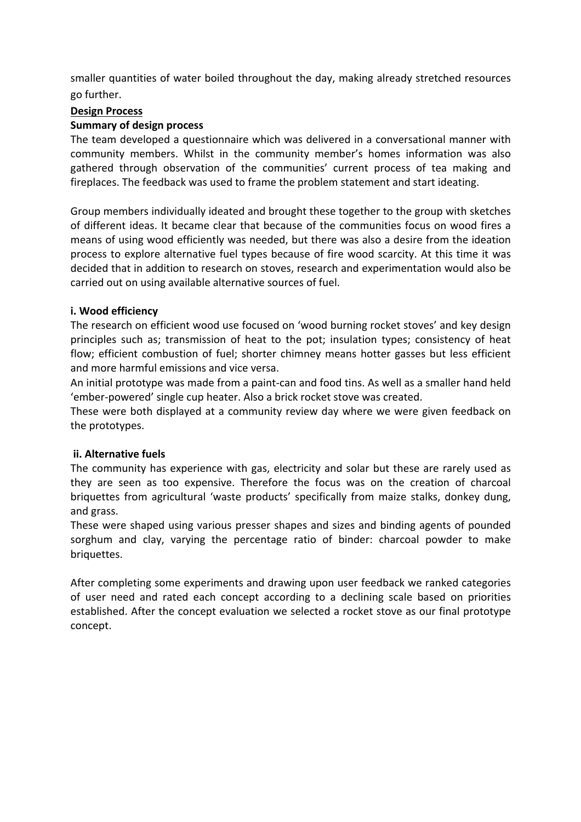smaller quantities of water boiled throughout the day, making already stretched resources go further.

#### **Design Process**

#### **Summary of design process**

The team developed a questionnaire which was delivered in a conversational manner with community members. Whilst in the community member's homes information was also gathered through observation of the communities' current process of tea making and fireplaces. The feedback was used to frame the problem statement and start ideating.

Group members individually ideated and brought these together to the group with sketches of different ideas. It became clear that because of the communities focus on wood fires a means of using wood efficiently was needed, but there was also a desire from the ideation process to explore alternative fuel types because of fire wood scarcity. At this time it was decided that in addition to research on stoves, research and experimentation would also be carried out on using available alternative sources of fuel.

#### **i. Wood efficiency**

The research on efficient wood use focused on 'wood burning rocket stoves' and key design principles such as; transmission of heat to the pot; insulation types; consistency of heat flow; efficient combustion of fuel; shorter chimney means hotter gasses but less efficient and more harmful emissions and vice versa.

An initial prototype was made from a paint-can and food tins. As well as a smaller hand held 'ember-powered' single cup heater. Also a brick rocket stove was created.

These were both displayed at a community review day where we were given feedback on the prototypes.

#### **ii. Alternative fuels**

The community has experience with gas, electricity and solar but these are rarely used as they are seen as too expensive. Therefore the focus was on the creation of charcoal briquettes from agricultural 'waste products' specifically from maize stalks, donkey dung, and grass.

These were shaped using various presser shapes and sizes and binding agents of pounded sorghum and clay, varying the percentage ratio of binder: charcoal powder to make briquettes.

After completing some experiments and drawing upon user feedback we ranked categories of user need and rated each concept according to a declining scale based on priorities established. After the concept evaluation we selected a rocket stove as our final prototype concept.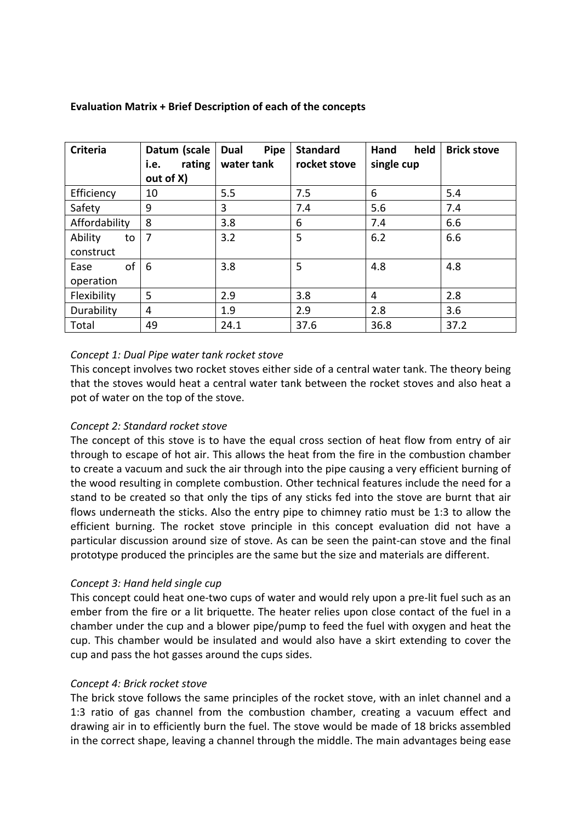| <b>Criteria</b> | Datum (scale<br>rating<br>i.e. | <b>Pipe</b><br>Dual<br>water tank | <b>Standard</b><br>rocket stove | held<br>Hand<br>single cup | <b>Brick stove</b> |
|-----------------|--------------------------------|-----------------------------------|---------------------------------|----------------------------|--------------------|
|                 | out of X)                      |                                   |                                 |                            |                    |
| Efficiency      | 10                             | 5.5                               | 7.5                             | 6                          | 5.4                |
| Safety          | 9                              | 3                                 | 7.4                             | 5.6                        | 7.4                |
| Affordability   | 8                              | 3.8                               | 6                               | 7.4                        | 6.6                |
| Ability<br>to   | 7                              | 3.2                               | 5                               | 6.2                        | 6.6                |
| construct       |                                |                                   |                                 |                            |                    |
| of<br>Ease      | 6                              | 3.8                               | 5                               | 4.8                        | 4.8                |
| operation       |                                |                                   |                                 |                            |                    |
| Flexibility     | 5                              | 2.9                               | 3.8                             | 4                          | 2.8                |
| Durability      | $\overline{4}$                 | 1.9                               | 2.9                             | 2.8                        | 3.6                |
| Total           | 49                             | 24.1                              | 37.6                            | 36.8                       | 37.2               |

# Evaluation Matrix + Brief Description of each of the concepts

# *Concept 1: Dual Pipe water tank rocket stove*

This concept involves two rocket stoves either side of a central water tank. The theory being that the stoves would heat a central water tank between the rocket stoves and also heat a pot of water on the top of the stove.

#### *Concept 2: Standard rocket stove*

The concept of this stove is to have the equal cross section of heat flow from entry of air through to escape of hot air. This allows the heat from the fire in the combustion chamber to create a vacuum and suck the air through into the pipe causing a very efficient burning of the wood resulting in complete combustion. Other technical features include the need for a stand to be created so that only the tips of any sticks fed into the stove are burnt that air flows underneath the sticks. Also the entry pipe to chimney ratio must be 1:3 to allow the efficient burning. The rocket stove principle in this concept evaluation did not have a particular discussion around size of stove. As can be seen the paint-can stove and the final prototype produced the principles are the same but the size and materials are different.

#### *Concept 3: Hand held single cup*

This concept could heat one-two cups of water and would rely upon a pre-lit fuel such as an ember from the fire or a lit briquette. The heater relies upon close contact of the fuel in a chamber under the cup and a blower pipe/pump to feed the fuel with oxygen and heat the cup. This chamber would be insulated and would also have a skirt extending to cover the cup and pass the hot gasses around the cups sides.

#### *Concept 4: Brick rocket stove*

The brick stove follows the same principles of the rocket stove, with an inlet channel and a 1:3 ratio of gas channel from the combustion chamber, creating a vacuum effect and drawing air in to efficiently burn the fuel. The stove would be made of 18 bricks assembled in the correct shape, leaving a channel through the middle. The main advantages being ease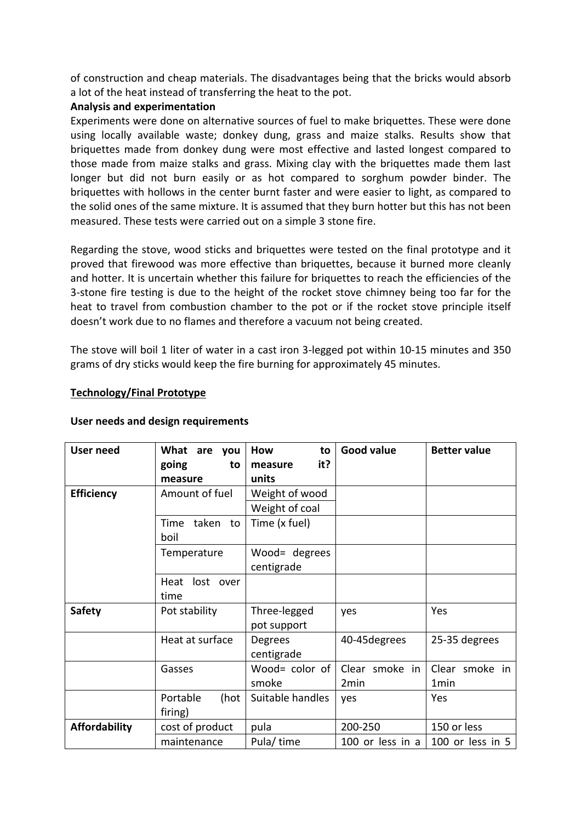of construction and cheap materials. The disadvantages being that the bricks would absorb a lot of the heat instead of transferring the heat to the pot.

#### **Analysis and experimentation**

Experiments were done on alternative sources of fuel to make briquettes. These were done using locally available waste; donkey dung, grass and maize stalks. Results show that briquettes made from donkey dung were most effective and lasted longest compared to those made from maize stalks and grass. Mixing clay with the briquettes made them last longer but did not burn easily or as hot compared to sorghum powder binder. The briquettes with hollows in the center burnt faster and were easier to light, as compared to the solid ones of the same mixture. It is assumed that they burn hotter but this has not been measured. These tests were carried out on a simple 3 stone fire.

Regarding the stove, wood sticks and briquettes were tested on the final prototype and it proved that firewood was more effective than briquettes, because it burned more cleanly and hotter. It is uncertain whether this failure for briquettes to reach the efficiencies of the 3-stone fire testing is due to the height of the rocket stove chimney being too far for the heat to travel from combustion chamber to the pot or if the rocket stove principle itself doesn't work due to no flames and therefore a vacuum not being created.

The stove will boil 1 liter of water in a cast iron 3-legged pot within 10-15 minutes and 350 grams of dry sticks would keep the fire burning for approximately 45 minutes.

|  | <b>Technology/Final Prototype</b> |
|--|-----------------------------------|
|  |                                   |

| <b>User need</b>     | What are you                | How<br>to                   | <b>Good value</b>                  | <b>Better value</b>    |
|----------------------|-----------------------------|-----------------------------|------------------------------------|------------------------|
|                      | going<br>to                 | it?<br>measure              |                                    |                        |
|                      | measure                     | units                       |                                    |                        |
| <b>Efficiency</b>    | Amount of fuel              | Weight of wood              |                                    |                        |
|                      |                             | Weight of coal              |                                    |                        |
|                      | taken<br>Time<br>to<br>boil | Time (x fuel)               |                                    |                        |
|                      | Temperature                 | Wood= degrees<br>centigrade |                                    |                        |
|                      | lost over<br>Heat<br>time   |                             |                                    |                        |
| <b>Safety</b>        | Pot stability               | Three-legged<br>pot support | yes                                | Yes                    |
|                      | Heat at surface             | Degrees<br>centigrade       | 40-45 degrees                      | 25-35 degrees          |
|                      | Gasses                      | Wood= color of<br>smoke     | Clear smoke in<br>2 <sub>min</sub> | Clear smoke in<br>1min |
|                      | Portable<br>(hot<br>firing) | Suitable handles            | yes                                | Yes                    |
| <b>Affordability</b> | cost of product             | pula                        | 200-250                            | 150 or less            |
|                      | maintenance                 | Pula/time                   | 100 or less in a                   | 100 or less in 5       |

#### User needs and design requirements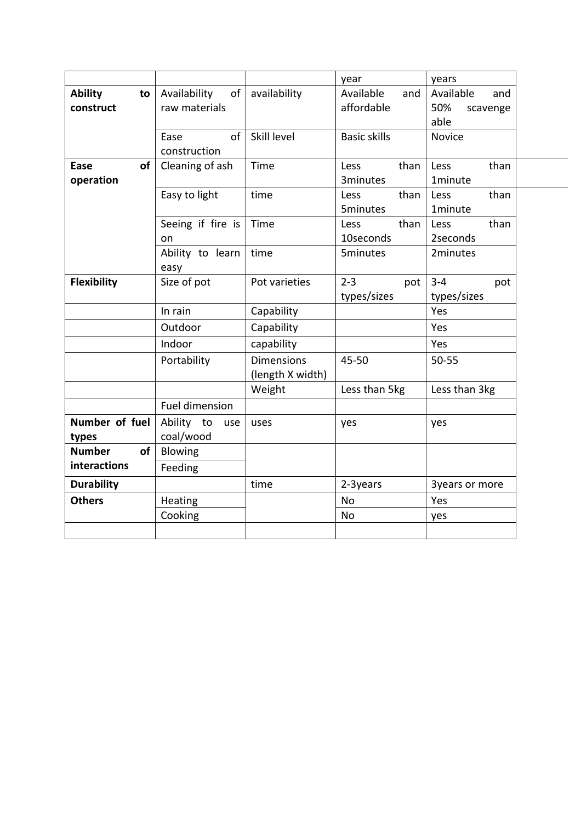|                                   |                                                  |                                       | year                           | years                                       |  |
|-----------------------------------|--------------------------------------------------|---------------------------------------|--------------------------------|---------------------------------------------|--|
| <b>Ability</b><br>to<br>construct | Availability<br>of <sub>1</sub><br>raw materials | availability                          | Available<br>and<br>affordable | Available<br>and<br>50%<br>scavenge<br>able |  |
|                                   | of<br>Ease                                       | Skill level                           | <b>Basic skills</b>            | <b>Novice</b>                               |  |
|                                   | construction                                     |                                       |                                |                                             |  |
| of<br>Ease                        | Cleaning of ash                                  | Time                                  | than<br>Less                   | Less<br>than                                |  |
| operation                         |                                                  |                                       | 3minutes                       | 1minute                                     |  |
|                                   | Easy to light                                    | time                                  | than<br>Less                   | than<br>Less                                |  |
|                                   |                                                  | Time                                  | <b>5minutes</b><br>than        | 1minute<br>than                             |  |
|                                   | Seeing if fire is                                |                                       | Less<br>10seconds              | Less<br>2seconds                            |  |
|                                   | on<br>Ability to learn                           | time                                  | <b>5minutes</b>                | 2minutes                                    |  |
|                                   | easy                                             |                                       |                                |                                             |  |
| <b>Flexibility</b>                | Size of pot                                      | Pot varieties                         | $2 - 3$<br>pot                 | $3 - 4$<br>pot                              |  |
|                                   |                                                  |                                       | types/sizes                    | types/sizes                                 |  |
|                                   | In rain                                          | Capability                            |                                | Yes                                         |  |
|                                   | Outdoor                                          | Capability                            |                                | Yes                                         |  |
|                                   | Indoor                                           | capability                            |                                | Yes                                         |  |
|                                   | Portability                                      | <b>Dimensions</b><br>(length X width) | 45-50                          | 50-55                                       |  |
|                                   |                                                  | Weight                                | Less than 5kg                  | Less than 3kg                               |  |
|                                   | Fuel dimension                                   |                                       |                                |                                             |  |
| Number of fuel                    | Ability<br>to<br>use                             | uses                                  | yes                            | yes                                         |  |
| types                             | coal/wood                                        |                                       |                                |                                             |  |
| <b>of</b><br><b>Number</b>        | Blowing                                          |                                       |                                |                                             |  |
| interactions                      | Feeding                                          |                                       |                                |                                             |  |
| <b>Durability</b>                 |                                                  | time                                  | 2-3years                       | 3years or more                              |  |
| <b>Others</b>                     | Heating                                          |                                       | <b>No</b>                      | Yes                                         |  |
|                                   | Cooking                                          |                                       | <b>No</b>                      | yes                                         |  |
|                                   |                                                  |                                       |                                |                                             |  |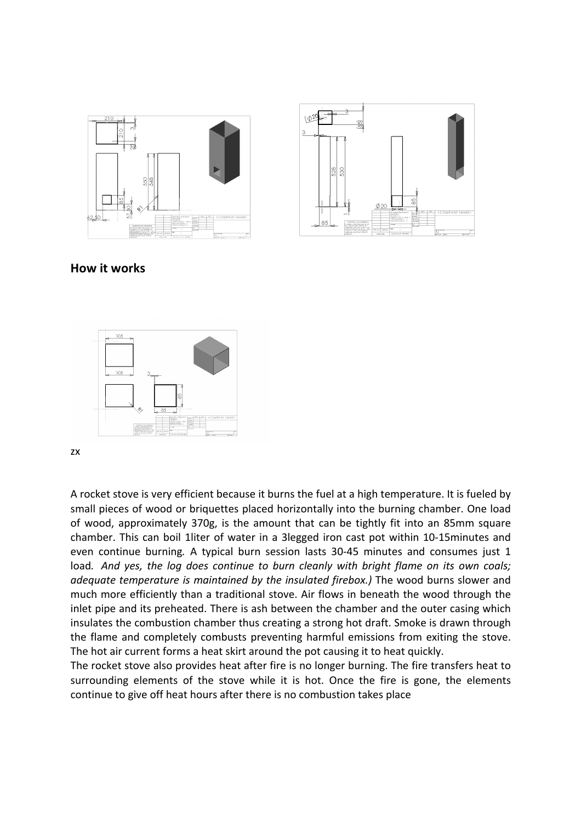



# **How it works**



zx

A rocket stove is very efficient because it burns the fuel at a high temperature. It is fueled by small pieces of wood or briquettes placed horizontally into the burning chamber. One load of wood, approximately 370g, is the amount that can be tightly fit into an 85mm square chamber. This can boil 1liter of water in a 3legged iron cast pot within 10-15minutes and even continue burning. A typical burn session lasts 30-45 minutes and consumes just 1 load. And yes, the log does continue to burn cleanly with bright flame on its own coals; *adequate temperature is maintained by the insulated firebox.)* The wood burns slower and much more efficiently than a traditional stove. Air flows in beneath the wood through the inlet pipe and its preheated. There is ash between the chamber and the outer casing which insulates the combustion chamber thus creating a strong hot draft. Smoke is drawn through the flame and completely combusts preventing harmful emissions from exiting the stove. The hot air current forms a heat skirt around the pot causing it to heat quickly.

The rocket stove also provides heat after fire is no longer burning. The fire transfers heat to surrounding elements of the stove while it is hot. Once the fire is gone, the elements continue to give off heat hours after there is no combustion takes place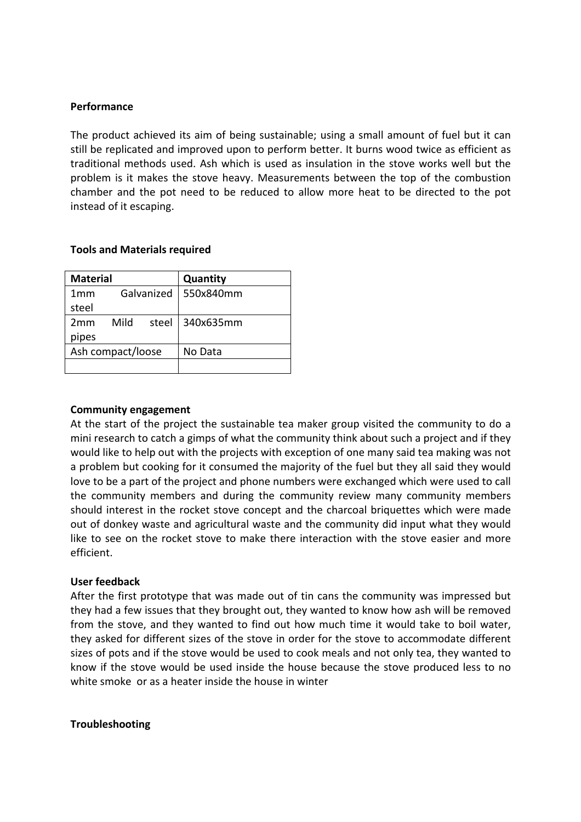#### **Performance**

The product achieved its aim of being sustainable; using a small amount of fuel but it can still be replicated and improved upon to perform better. It burns wood twice as efficient as traditional methods used. Ash which is used as insulation in the stove works well but the problem is it makes the stove heavy. Measurements between the top of the combustion chamber and the pot need to be reduced to allow more heat to be directed to the pot instead of it escaping.

#### **Tools and Materials required**

| <b>Material</b>   |            |       | Quantity  |
|-------------------|------------|-------|-----------|
| 1mm               | Galvanized |       | 550x840mm |
| steel             |            |       |           |
| 2mm               | Mild       | steel | 340x635mm |
| pipes             |            |       |           |
| Ash compact/loose |            |       | No Data   |
|                   |            |       |           |

#### **Community engagement**

At the start of the project the sustainable tea maker group visited the community to do a mini research to catch a gimps of what the community think about such a project and if they would like to help out with the projects with exception of one many said tea making was not a problem but cooking for it consumed the majority of the fuel but they all said they would love to be a part of the project and phone numbers were exchanged which were used to call the community members and during the community review many community members should interest in the rocket stove concept and the charcoal briquettes which were made out of donkey waste and agricultural waste and the community did input what they would like to see on the rocket stove to make there interaction with the stove easier and more efficient.

#### User feedback

After the first prototype that was made out of tin cans the community was impressed but they had a few issues that they brought out, they wanted to know how ash will be removed from the stove, and they wanted to find out how much time it would take to boil water, they asked for different sizes of the stove in order for the stove to accommodate different sizes of pots and if the stove would be used to cook meals and not only tea, they wanted to know if the stove would be used inside the house because the stove produced less to no white smoke or as a heater inside the house in winter

#### **Troubleshooting**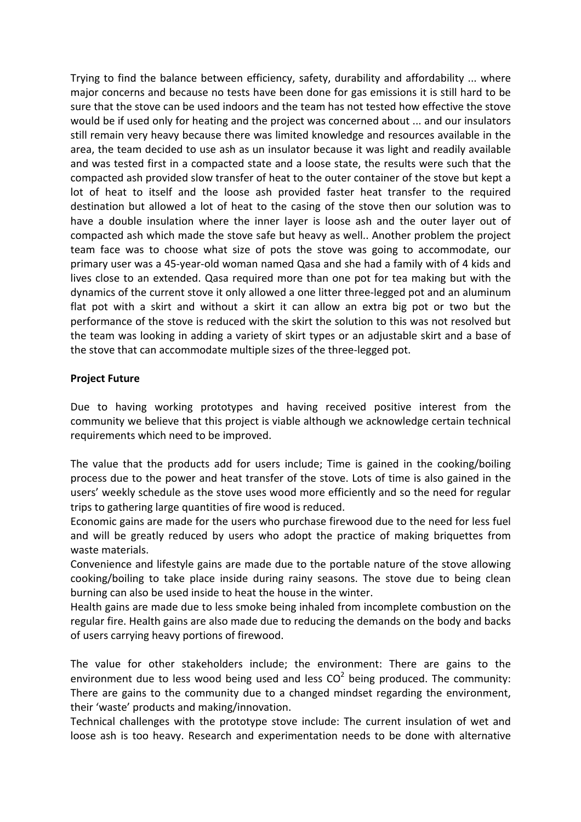Trying to find the balance between efficiency, safety, durability and affordability ... where major concerns and because no tests have been done for gas emissions it is still hard to be sure that the stove can be used indoors and the team has not tested how effective the stove would be if used only for heating and the project was concerned about ... and our insulators still remain very heavy because there was limited knowledge and resources available in the area, the team decided to use ash as un insulator because it was light and readily available and was tested first in a compacted state and a loose state, the results were such that the compacted ash provided slow transfer of heat to the outer container of the stove but kept a lot of heat to itself and the loose ash provided faster heat transfer to the required destination but allowed a lot of heat to the casing of the stove then our solution was to have a double insulation where the inner layer is loose ash and the outer layer out of compacted ash which made the stove safe but heavy as well.. Another problem the project team face was to choose what size of pots the stove was going to accommodate, our primary user was a 45-year-old woman named Qasa and she had a family with of 4 kids and lives close to an extended. Qasa required more than one pot for tea making but with the dynamics of the current stove it only allowed a one litter three-legged pot and an aluminum flat pot with a skirt and without a skirt it can allow an extra big pot or two but the performance of the stove is reduced with the skirt the solution to this was not resolved but the team was looking in adding a variety of skirt types or an adjustable skirt and a base of the stove that can accommodate multiple sizes of the three-legged pot.

# **Project Future**

Due to having working prototypes and having received positive interest from the community we believe that this project is viable although we acknowledge certain technical requirements which need to be improved.

The value that the products add for users include; Time is gained in the cooking/boiling process due to the power and heat transfer of the stove. Lots of time is also gained in the users' weekly schedule as the stove uses wood more efficiently and so the need for regular trips to gathering large quantities of fire wood is reduced.

Economic gains are made for the users who purchase firewood due to the need for less fuel and will be greatly reduced by users who adopt the practice of making briquettes from waste materials.

Convenience and lifestyle gains are made due to the portable nature of the stove allowing cooking/boiling to take place inside during rainy seasons. The stove due to being clean burning can also be used inside to heat the house in the winter.

Health gains are made due to less smoke being inhaled from incomplete combustion on the regular fire. Health gains are also made due to reducing the demands on the body and backs of users carrying heavy portions of firewood.

The value for other stakeholders include; the environment: There are gains to the environment due to less wood being used and less  $CO<sup>2</sup>$  being produced. The community: There are gains to the community due to a changed mindset regarding the environment, their 'waste' products and making/innovation.

Technical challenges with the prototype stove include: The current insulation of wet and loose ash is too heavy. Research and experimentation needs to be done with alternative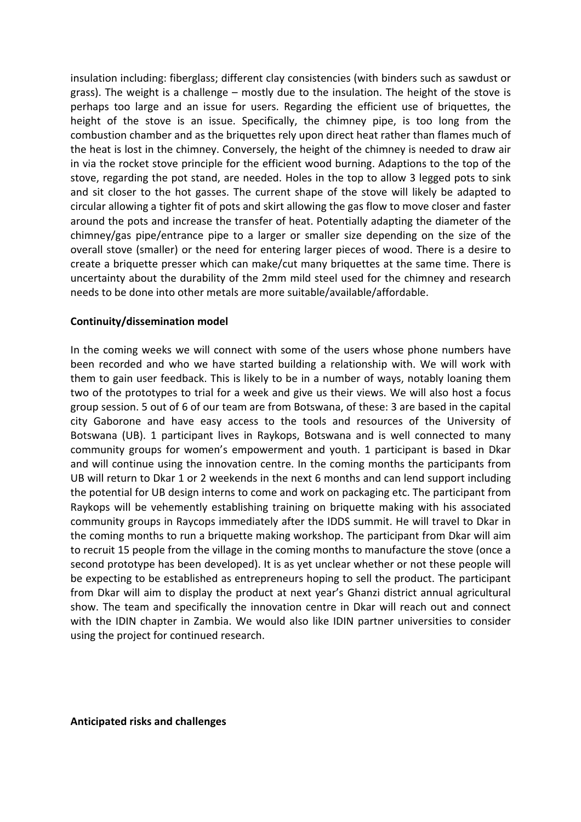insulation including: fiberglass; different clay consistencies (with binders such as sawdust or grass). The weight is a challenge – mostly due to the insulation. The height of the stove is perhaps too large and an issue for users. Regarding the efficient use of briquettes, the height of the stove is an issue. Specifically, the chimney pipe, is too long from the combustion chamber and as the briquettes rely upon direct heat rather than flames much of the heat is lost in the chimney. Conversely, the height of the chimney is needed to draw air in via the rocket stove principle for the efficient wood burning. Adaptions to the top of the stove, regarding the pot stand, are needed. Holes in the top to allow 3 legged pots to sink and sit closer to the hot gasses. The current shape of the stove will likely be adapted to circular allowing a tighter fit of pots and skirt allowing the gas flow to move closer and faster around the pots and increase the transfer of heat. Potentially adapting the diameter of the chimney/gas pipe/entrance pipe to a larger or smaller size depending on the size of the overall stove (smaller) or the need for entering larger pieces of wood. There is a desire to create a briquette presser which can make/cut many briquettes at the same time. There is uncertainty about the durability of the 2mm mild steel used for the chimney and research needs to be done into other metals are more suitable/available/affordable.

#### **Continuity/dissemination model**

In the coming weeks we will connect with some of the users whose phone numbers have been recorded and who we have started building a relationship with. We will work with them to gain user feedback. This is likely to be in a number of ways, notably loaning them two of the prototypes to trial for a week and give us their views. We will also host a focus group session. 5 out of 6 of our team are from Botswana, of these: 3 are based in the capital city Gaborone and have easy access to the tools and resources of the University of Botswana (UB). 1 participant lives in Raykops, Botswana and is well connected to many community groups for women's empowerment and youth. 1 participant is based in Dkar and will continue using the innovation centre. In the coming months the participants from UB will return to Dkar 1 or 2 weekends in the next 6 months and can lend support including the potential for UB design interns to come and work on packaging etc. The participant from Raykops will be vehemently establishing training on briquette making with his associated community groups in Raycops immediately after the IDDS summit. He will travel to Dkar in the coming months to run a briquette making workshop. The participant from Dkar will aim to recruit 15 people from the village in the coming months to manufacture the stove (once a second prototype has been developed). It is as yet unclear whether or not these people will be expecting to be established as entrepreneurs hoping to sell the product. The participant from Dkar will aim to display the product at next year's Ghanzi district annual agricultural show. The team and specifically the innovation centre in Dkar will reach out and connect with the IDIN chapter in Zambia. We would also like IDIN partner universities to consider using the project for continued research.

**Anticipated risks and challenges**